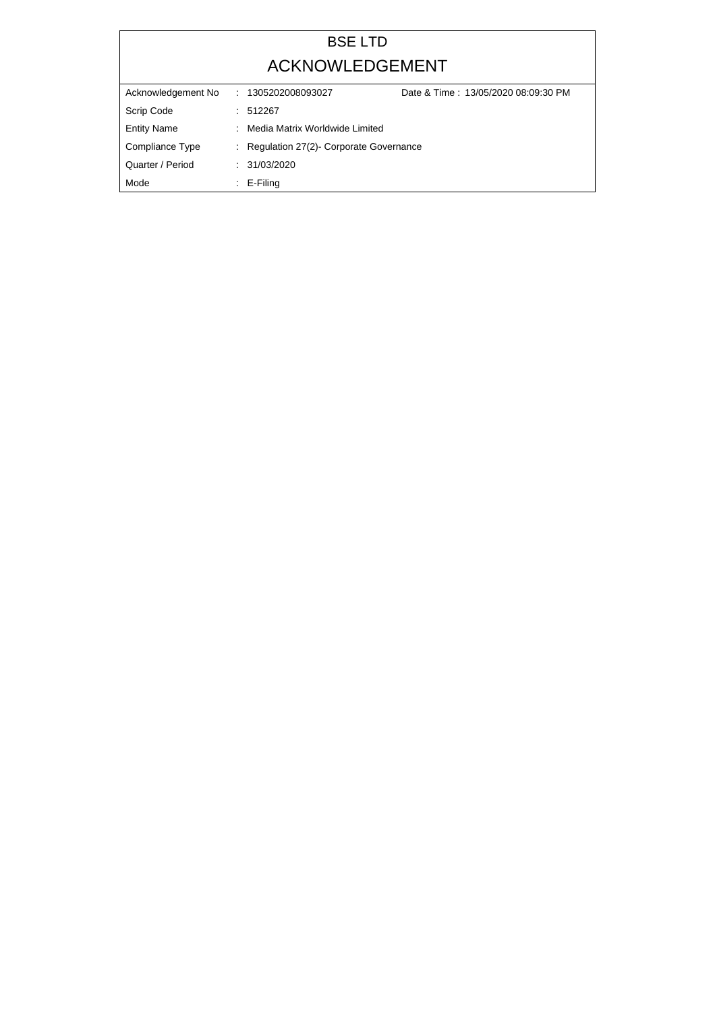## BSE LTD ACKNOWLEDGEMENT

| Acknowledgement No |   | : 1305202008093027                       | Date & Time: 13/05/2020 08:09:30 PM |
|--------------------|---|------------------------------------------|-------------------------------------|
| Scrip Code         |   | : 512267                                 |                                     |
| <b>Entity Name</b> | ÷ | Media Matrix Worldwide Limited           |                                     |
| Compliance Type    |   | : Regulation 27(2)- Corporate Governance |                                     |
| Quarter / Period   |   | : 31/03/2020                             |                                     |
| Mode               | ÷ | E-Filing                                 |                                     |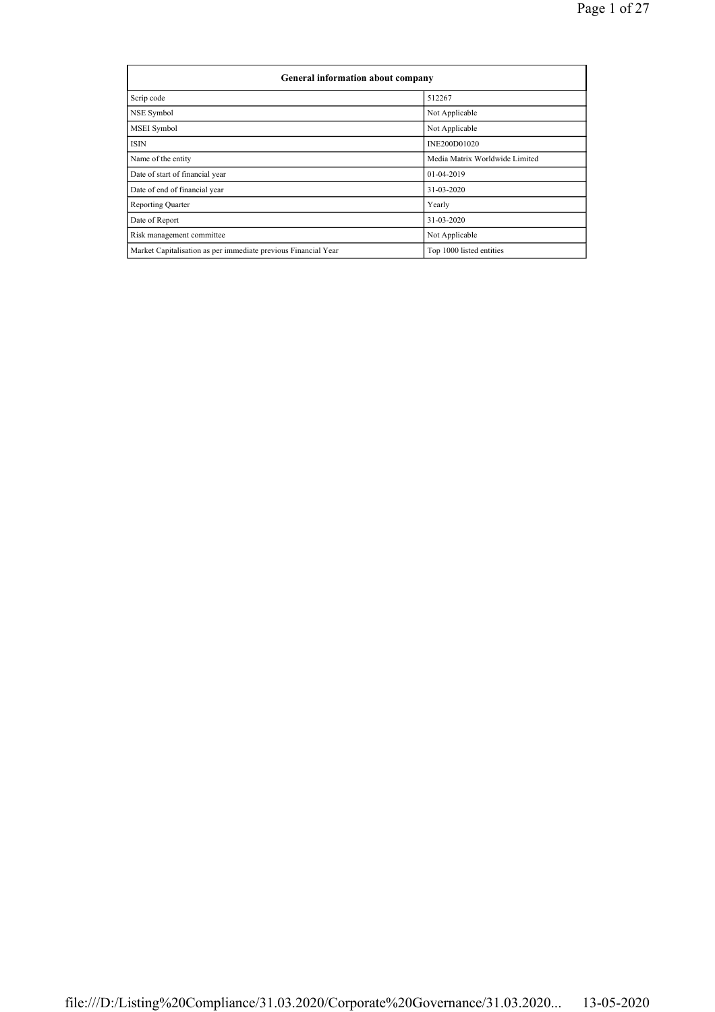| General information about company                              |                                |  |  |  |  |  |  |
|----------------------------------------------------------------|--------------------------------|--|--|--|--|--|--|
| Scrip code                                                     | 512267                         |  |  |  |  |  |  |
| NSE Symbol                                                     | Not Applicable                 |  |  |  |  |  |  |
| <b>MSEI</b> Symbol                                             | Not Applicable                 |  |  |  |  |  |  |
| <b>ISIN</b>                                                    | INE200D01020                   |  |  |  |  |  |  |
| Name of the entity                                             | Media Matrix Worldwide Limited |  |  |  |  |  |  |
| Date of start of financial year                                | 01-04-2019                     |  |  |  |  |  |  |
| Date of end of financial year                                  | 31-03-2020                     |  |  |  |  |  |  |
| <b>Reporting Quarter</b>                                       | Yearly                         |  |  |  |  |  |  |
| Date of Report                                                 | 31-03-2020                     |  |  |  |  |  |  |
| Risk management committee                                      | Not Applicable                 |  |  |  |  |  |  |
| Market Capitalisation as per immediate previous Financial Year | Top 1000 listed entities       |  |  |  |  |  |  |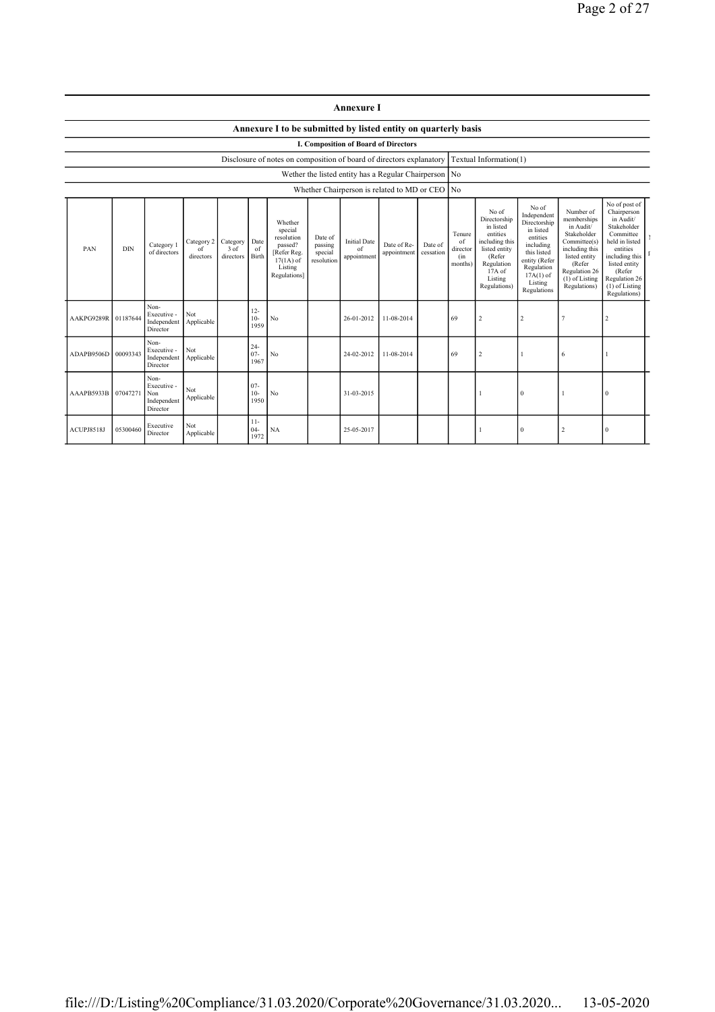|            | <b>Annexure I</b>                                              |                                                       |                               |                               |                          |                                                                                                      |                                             |                                                       |                            |                      |                                            |                                                                                                                                                  |                                                                                                                                                                   |                                                                                                                                                                        |                                                                                                                                                                                                       |  |
|------------|----------------------------------------------------------------|-------------------------------------------------------|-------------------------------|-------------------------------|--------------------------|------------------------------------------------------------------------------------------------------|---------------------------------------------|-------------------------------------------------------|----------------------------|----------------------|--------------------------------------------|--------------------------------------------------------------------------------------------------------------------------------------------------|-------------------------------------------------------------------------------------------------------------------------------------------------------------------|------------------------------------------------------------------------------------------------------------------------------------------------------------------------|-------------------------------------------------------------------------------------------------------------------------------------------------------------------------------------------------------|--|
|            | Annexure I to be submitted by listed entity on quarterly basis |                                                       |                               |                               |                          |                                                                                                      |                                             |                                                       |                            |                      |                                            |                                                                                                                                                  |                                                                                                                                                                   |                                                                                                                                                                        |                                                                                                                                                                                                       |  |
|            | I. Composition of Board of Directors                           |                                                       |                               |                               |                          |                                                                                                      |                                             |                                                       |                            |                      |                                            |                                                                                                                                                  |                                                                                                                                                                   |                                                                                                                                                                        |                                                                                                                                                                                                       |  |
|            |                                                                |                                                       |                               |                               |                          | Disclosure of notes on composition of board of directors explanatory                                 |                                             |                                                       |                            |                      |                                            | Textual Information(1)                                                                                                                           |                                                                                                                                                                   |                                                                                                                                                                        |                                                                                                                                                                                                       |  |
|            |                                                                |                                                       |                               |                               |                          |                                                                                                      |                                             | Wether the listed entity has a Regular Chairperson No |                            |                      |                                            |                                                                                                                                                  |                                                                                                                                                                   |                                                                                                                                                                        |                                                                                                                                                                                                       |  |
|            |                                                                |                                                       |                               |                               |                          |                                                                                                      |                                             | Whether Chairperson is related to MD or CEO No        |                            |                      |                                            |                                                                                                                                                  |                                                                                                                                                                   |                                                                                                                                                                        |                                                                                                                                                                                                       |  |
| PAN        | <b>DIN</b>                                                     | Category 1<br>of directors                            | Category 2<br>of<br>directors | Category<br>3 of<br>directors | Date<br>of<br>Birth      | Whether<br>special<br>resolution<br>passed?<br>[Refer Reg.<br>$17(1A)$ of<br>Listing<br>Regulations] | Date of<br>passing<br>special<br>resolution | <b>Initial Date</b><br>of<br>appointment              | Date of Re-<br>appointment | Date of<br>cessation | Tenure<br>of<br>director<br>(in<br>months) | No of<br>Directorship<br>in listed<br>entities<br>including this<br>listed entity<br>(Refer<br>Regulation<br>$17A$ of<br>Listing<br>Regulations) | No of<br>Independent<br>Directorship<br>in listed<br>entities<br>including<br>this listed<br>entity (Refer<br>Regulation<br>$17A(1)$ of<br>Listing<br>Regulations | Number of<br>memberships<br>in Audit/<br>Stakeholder<br>Committee(s)<br>including this<br>listed entity<br>(Refer<br>Regulation 26<br>$(1)$ of Listing<br>Regulations) | No of post of<br>Chairperson<br>in Audit/<br>Stakeholder<br>Committee<br>held in listed<br>entities<br>including this<br>listed entity<br>(Refer<br>Regulation 26<br>$(1)$ of Listing<br>Regulations) |  |
| AAKPG9289R | 01187644                                                       | Non-<br>Executive -<br>Independent<br>Director        | Not<br>Applicable             |                               | $12 -$<br>$10-$<br>1959  | N <sub>0</sub>                                                                                       |                                             | 26-01-2012                                            | 11-08-2014                 |                      | 69                                         | $\overline{2}$                                                                                                                                   | 2                                                                                                                                                                 | 7                                                                                                                                                                      | $\overline{\mathbf{c}}$                                                                                                                                                                               |  |
| ADAPB9506D | 00093343                                                       | Non-<br>Executive -<br>Independent<br>Director        | Not<br>Applicable             |                               | $24 -$<br>$07 -$<br>1967 | No                                                                                                   |                                             | 24-02-2012                                            | 11-08-2014                 |                      | 69                                         | $\overline{2}$                                                                                                                                   |                                                                                                                                                                   | 6                                                                                                                                                                      |                                                                                                                                                                                                       |  |
| AAAPB5933B | 07047271                                                       | Non-<br>Executive -<br>Non<br>Independent<br>Director | Not<br>Applicable             |                               | $07 -$<br>$10-$<br>1950  | No                                                                                                   |                                             | 31-03-2015                                            |                            |                      |                                            |                                                                                                                                                  | $\Omega$                                                                                                                                                          |                                                                                                                                                                        | 0                                                                                                                                                                                                     |  |
| ACUPJ8518J | 05300460                                                       | Executive<br>Director                                 | Not<br>Applicable             |                               | $11-$<br>$04 -$<br>1972  | <b>NA</b>                                                                                            |                                             | 25-05-2017                                            |                            |                      |                                            |                                                                                                                                                  | $\theta$                                                                                                                                                          | $\overline{c}$                                                                                                                                                         | $\Omega$                                                                                                                                                                                              |  |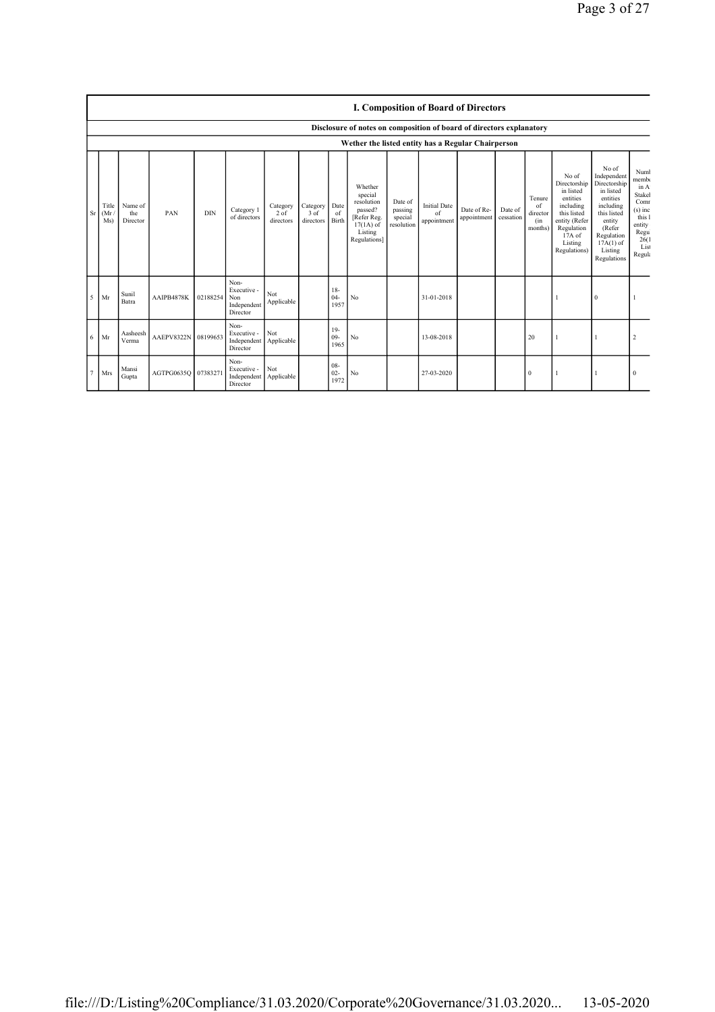|    |                      | <b>I. Composition of Board of Directors</b> |                     |            |                                                       |                                 |                               |                         |                                                                                                      |                                             |                                          |                            |                      |                                            |                                                                                                                                                  |                                                                                                                                                                      |                                                                                                             |
|----|----------------------|---------------------------------------------|---------------------|------------|-------------------------------------------------------|---------------------------------|-------------------------------|-------------------------|------------------------------------------------------------------------------------------------------|---------------------------------------------|------------------------------------------|----------------------------|----------------------|--------------------------------------------|--------------------------------------------------------------------------------------------------------------------------------------------------|----------------------------------------------------------------------------------------------------------------------------------------------------------------------|-------------------------------------------------------------------------------------------------------------|
|    |                      |                                             |                     |            |                                                       |                                 |                               |                         | Disclosure of notes on composition of board of directors explanatory                                 |                                             |                                          |                            |                      |                                            |                                                                                                                                                  |                                                                                                                                                                      |                                                                                                             |
|    |                      |                                             |                     |            |                                                       |                                 |                               |                         | Wether the listed entity has a Regular Chairperson                                                   |                                             |                                          |                            |                      |                                            |                                                                                                                                                  |                                                                                                                                                                      |                                                                                                             |
| Sr | Title<br>(Mr)<br>Ms) | Name of<br>the<br>Director                  | PAN                 | <b>DIN</b> | Category 1<br>of directors                            | Category<br>$2$ of<br>directors | Category<br>3 of<br>directors | Date<br>of<br>Birth     | Whether<br>special<br>resolution<br>passed?<br>[Refer Reg.<br>$17(1A)$ of<br>Listing<br>Regulations] | Date of<br>passing<br>special<br>resolution | <b>Initial Date</b><br>of<br>appointment | Date of Re-<br>appointment | Date of<br>cessation | Tenure<br>of<br>director<br>(in<br>months) | No of<br>Directorship<br>in listed<br>entities<br>including<br>this listed<br>entity (Refer<br>Regulation<br>$17A$ of<br>Listing<br>Regulations) | No of<br>Independent<br>Directorship<br>in listed<br>entities<br>including<br>this listed<br>entity<br>(Refer<br>Regulation<br>$17A(1)$ of<br>Listing<br>Regulations | Numl<br>membo<br>in A<br>Stakel<br>Comr<br>$(s)$ inc<br>this 1<br>entity<br>Regu<br>26(1)<br>List<br>Regula |
| 5  | Mr                   | Sunil<br>Batra                              | AAIPB4878K          | 02188254   | Non-<br>Executive -<br>Non<br>Independent<br>Director | Not<br>Applicable               |                               | $18-$<br>$04 -$<br>1957 | No                                                                                                   |                                             | 31-01-2018                               |                            |                      |                                            |                                                                                                                                                  | $\mathbf{0}$                                                                                                                                                         |                                                                                                             |
| 6  | Mr                   | Aasheesh<br>Verma                           | AAEPV8322N 08199653 |            | Non-<br>Executive -<br>Independent<br>Director        | Not<br>Applicable               |                               | $19-$<br>$09 -$<br>1965 | No                                                                                                   |                                             | 13-08-2018                               |                            |                      | 20                                         | 1                                                                                                                                                |                                                                                                                                                                      | $\overline{2}$                                                                                              |
|    | Mrs                  | Mansi<br>Gupta                              | AGTPG0635Q 07383271 |            | Non-<br>Executive -<br>Independent<br>Director        | Not<br>Applicable               |                               | 08-<br>$02 -$<br>1972   | No                                                                                                   |                                             | 27-03-2020                               |                            |                      | $\mathbf{0}$                               |                                                                                                                                                  |                                                                                                                                                                      | $\Omega$                                                                                                    |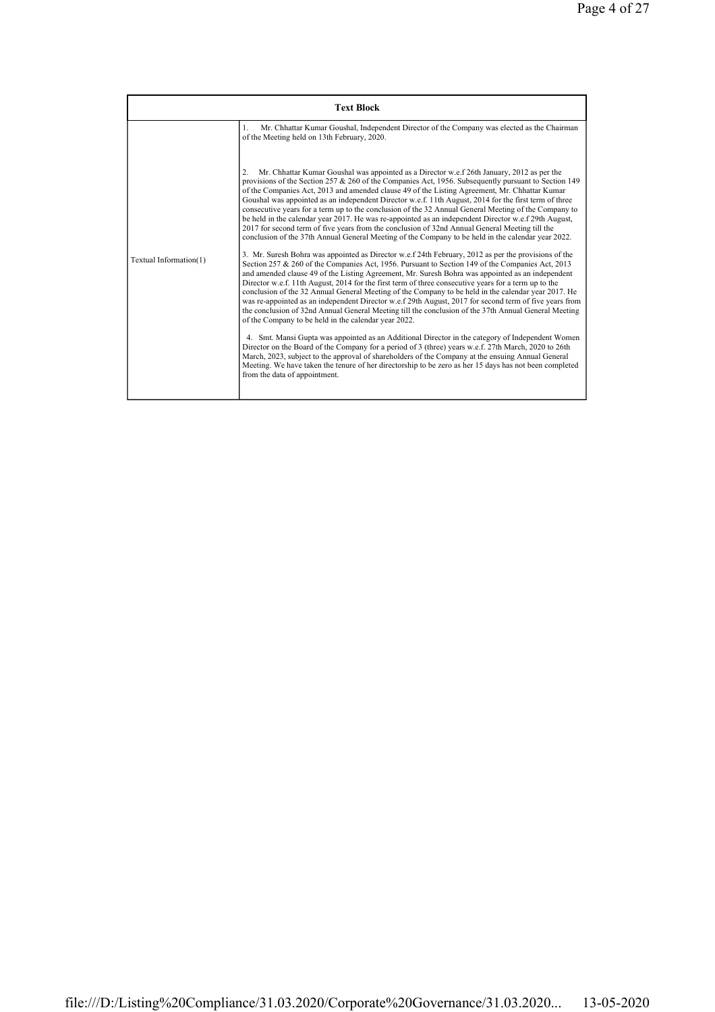|                        | <b>Text Block</b>                                                                                                                                                                                                                                                                                                                                                                                                                                                                                                                                                                                                                                                                                                                                                                                                                                                                                                                                                                                                                                                                                                                                                                                                                                                                                                                                                                                                                                                                                                                                                                                                                                                                                                                                                                                                                                                                                                                                                                                                                                                                                                           |
|------------------------|-----------------------------------------------------------------------------------------------------------------------------------------------------------------------------------------------------------------------------------------------------------------------------------------------------------------------------------------------------------------------------------------------------------------------------------------------------------------------------------------------------------------------------------------------------------------------------------------------------------------------------------------------------------------------------------------------------------------------------------------------------------------------------------------------------------------------------------------------------------------------------------------------------------------------------------------------------------------------------------------------------------------------------------------------------------------------------------------------------------------------------------------------------------------------------------------------------------------------------------------------------------------------------------------------------------------------------------------------------------------------------------------------------------------------------------------------------------------------------------------------------------------------------------------------------------------------------------------------------------------------------------------------------------------------------------------------------------------------------------------------------------------------------------------------------------------------------------------------------------------------------------------------------------------------------------------------------------------------------------------------------------------------------------------------------------------------------------------------------------------------------|
|                        | Mr. Chhattar Kumar Goushal, Independent Director of the Company was elected as the Chairman<br>$\mathbf{1}$<br>of the Meeting held on 13th February, 2020.                                                                                                                                                                                                                                                                                                                                                                                                                                                                                                                                                                                                                                                                                                                                                                                                                                                                                                                                                                                                                                                                                                                                                                                                                                                                                                                                                                                                                                                                                                                                                                                                                                                                                                                                                                                                                                                                                                                                                                  |
| Textual Information(1) | Mr. Chhattar Kumar Goushal was appointed as a Director w.e.f 26th January, 2012 as per the<br>$\overline{2}$<br>provisions of the Section 257 & 260 of the Companies Act, 1956. Subsequently pursuant to Section 149<br>of the Companies Act, 2013 and amended clause 49 of the Listing Agreement, Mr. Chhattar Kumar<br>Goushal was appointed as an independent Director w.e.f. 11th August, 2014 for the first term of three<br>consecutive years for a term up to the conclusion of the 32 Annual General Meeting of the Company to<br>be held in the calendar year 2017. He was re-appointed as an independent Director w.e.f 29th August,<br>2017 for second term of five years from the conclusion of 32nd Annual General Meeting till the<br>conclusion of the 37th Annual General Meeting of the Company to be held in the calendar year 2022.<br>3. Mr. Suresh Bohra was appointed as Director w.e.f 24th February, 2012 as per the provisions of the<br>Section 257 & 260 of the Companies Act, 1956. Pursuant to Section 149 of the Companies Act, 2013<br>and amended clause 49 of the Listing Agreement, Mr. Suresh Bohra was appointed as an independent<br>Director w.e.f. 11th August, 2014 for the first term of three consecutive years for a term up to the<br>conclusion of the 32 Annual General Meeting of the Company to be held in the calendar year 2017. He<br>was re-appointed as an independent Director w.e.f 29th August, 2017 for second term of five years from<br>the conclusion of 32nd Annual General Meeting till the conclusion of the 37th Annual General Meeting<br>of the Company to be held in the calendar year 2022.<br>4. Smt. Mansi Gupta was appointed as an Additional Director in the category of Independent Women<br>Director on the Board of the Company for a period of 3 (three) years w.e.f. 27th March, 2020 to 26th<br>March, 2023, subject to the approval of shareholders of the Company at the ensuing Annual General<br>Meeting. We have taken the tenure of her directorship to be zero as her 15 days has not been completed<br>from the data of appointment. |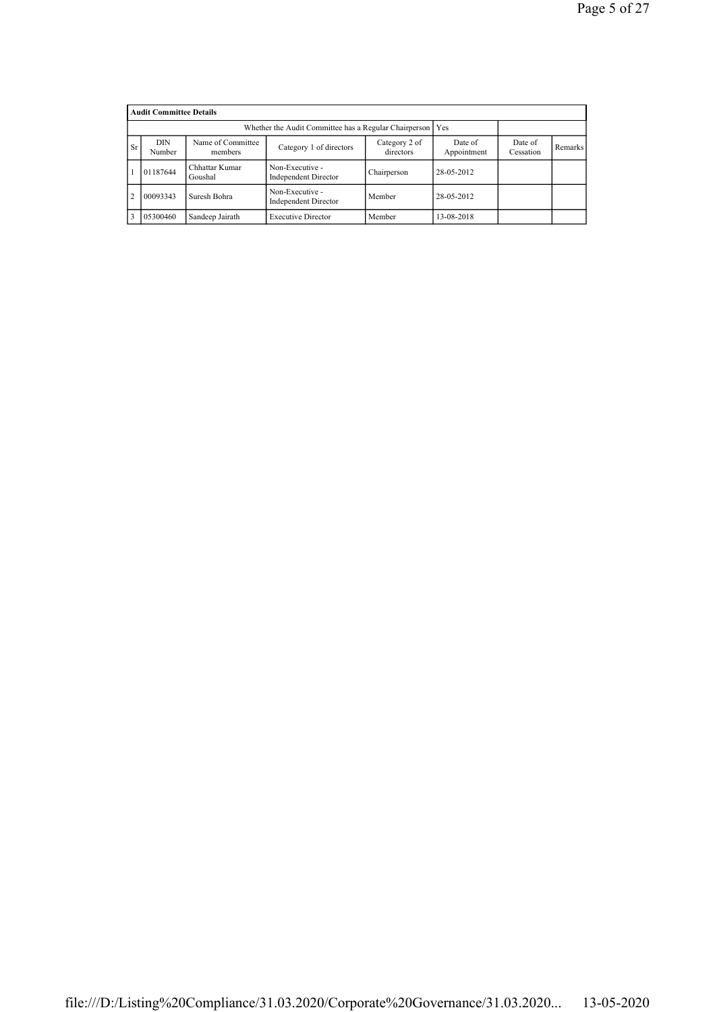|                | <b>Audit Committee Details</b>                                                                         |                                                             |                                                |             |            |                      |         |  |  |  |  |
|----------------|--------------------------------------------------------------------------------------------------------|-------------------------------------------------------------|------------------------------------------------|-------------|------------|----------------------|---------|--|--|--|--|
|                |                                                                                                        | Whether the Audit Committee has a Regular Chairperson   Yes |                                                |             |            |                      |         |  |  |  |  |
| <b>Sr</b>      | Name of Committee<br>DIN<br>Category 2 of<br>Category 1 of directors<br>directors<br>Number<br>members |                                                             |                                                |             |            | Date of<br>Cessation | Remarks |  |  |  |  |
|                | 01187644                                                                                               | Chhattar Kumar<br>Goushal                                   | Non-Executive -<br>Independent Director        | Chairperson | 28-05-2012 |                      |         |  |  |  |  |
| $\overline{2}$ | 00093343                                                                                               | Suresh Bohra                                                | Non-Executive -<br><b>Independent Director</b> | Member      | 28-05-2012 |                      |         |  |  |  |  |
| 3              | 05300460                                                                                               | Sandeep Jairath                                             | <b>Executive Director</b>                      | Member      | 13-08-2018 |                      |         |  |  |  |  |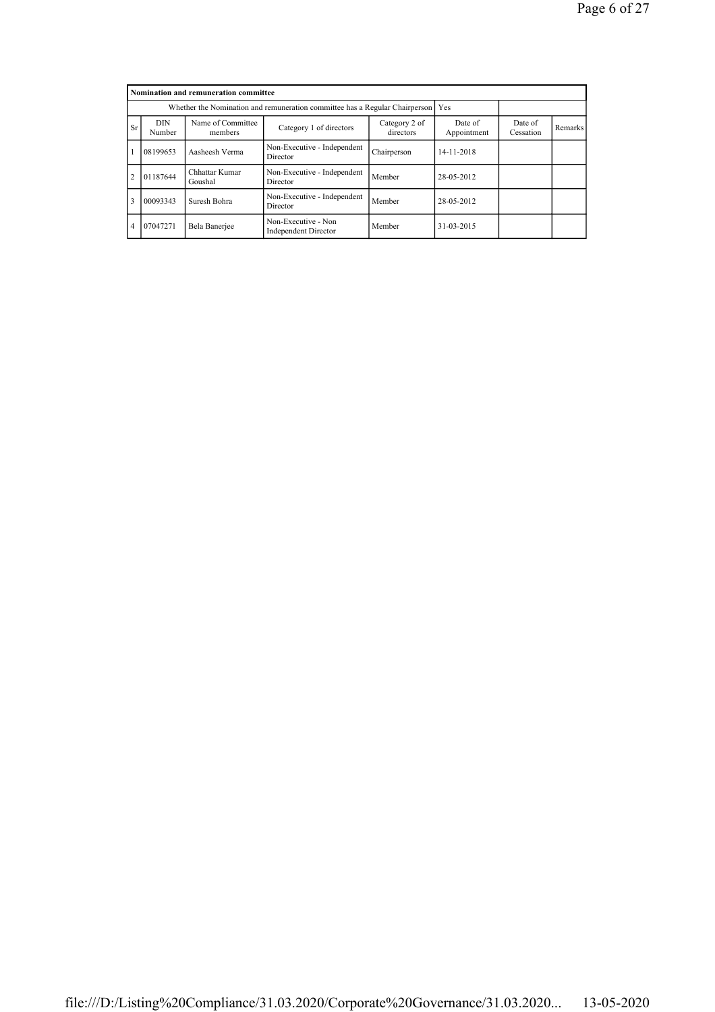|                | Nomination and remuneration committee                                                                                                   |                           |                                                    |             |            |                      |         |  |  |  |
|----------------|-----------------------------------------------------------------------------------------------------------------------------------------|---------------------------|----------------------------------------------------|-------------|------------|----------------------|---------|--|--|--|
|                | Whether the Nomination and remuneration committee has a Regular Chairperson                                                             |                           |                                                    |             |            |                      |         |  |  |  |
| <b>Sr</b>      | <b>DIN</b><br>Name of Committee<br>Category 2 of<br>Date of<br>Category 1 of directors<br>directors<br>Appointment<br>Number<br>members |                           |                                                    |             |            | Date of<br>Cessation | Remarks |  |  |  |
|                | 08199653                                                                                                                                | Aasheesh Verma            | Non-Executive - Independent<br>Director            | Chairperson | 14-11-2018 |                      |         |  |  |  |
| $\overline{2}$ | 01187644                                                                                                                                | Chhattar Kumar<br>Goushal | Non-Executive - Independent<br>Director            | Member      | 28-05-2012 |                      |         |  |  |  |
| 3              | 00093343                                                                                                                                | Suresh Bohra              | Non-Executive - Independent<br>Director            | Member      | 28-05-2012 |                      |         |  |  |  |
| $\overline{4}$ | 07047271                                                                                                                                | Bela Banerjee             | Non-Executive - Non<br><b>Independent Director</b> | Member      | 31-03-2015 |                      |         |  |  |  |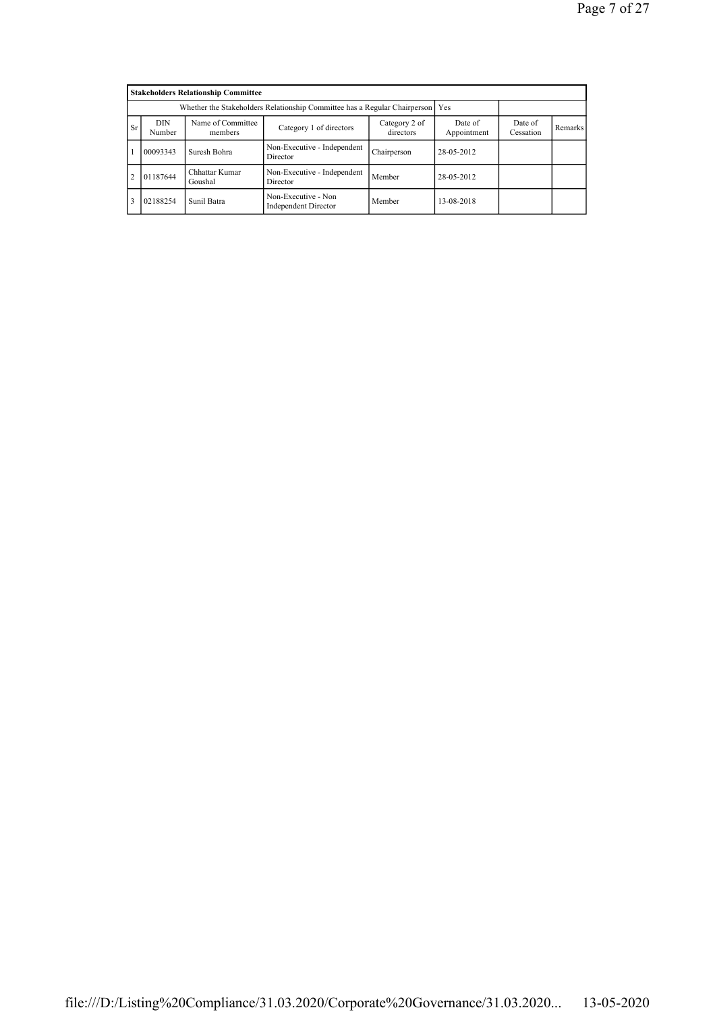|                | <b>Stakeholders Relationship Committee</b> |                                                                                 |                                                    |                      |            |  |  |  |  |  |
|----------------|--------------------------------------------|---------------------------------------------------------------------------------|----------------------------------------------------|----------------------|------------|--|--|--|--|--|
|                |                                            | Whether the Stakeholders Relationship Committee has a Regular Chairperson   Yes |                                                    |                      |            |  |  |  |  |  |
| <b>Sr</b>      | DIN<br>Number                              | Name of Committee<br>members                                                    | Date of<br>Appointment                             | Date of<br>Cessation | Remarks    |  |  |  |  |  |
|                | 00093343                                   | Suresh Bohra                                                                    | Non-Executive - Independent<br>Director            | Chairperson          | 28-05-2012 |  |  |  |  |  |
| $\overline{2}$ | 01187644                                   | Chhattar Kumar<br>Goushal                                                       | Non-Executive - Independent<br>Director            | Member               | 28-05-2012 |  |  |  |  |  |
| 3              | 02188254                                   | Sunil Batra                                                                     | Non-Executive - Non<br><b>Independent Director</b> | Member               | 13-08-2018 |  |  |  |  |  |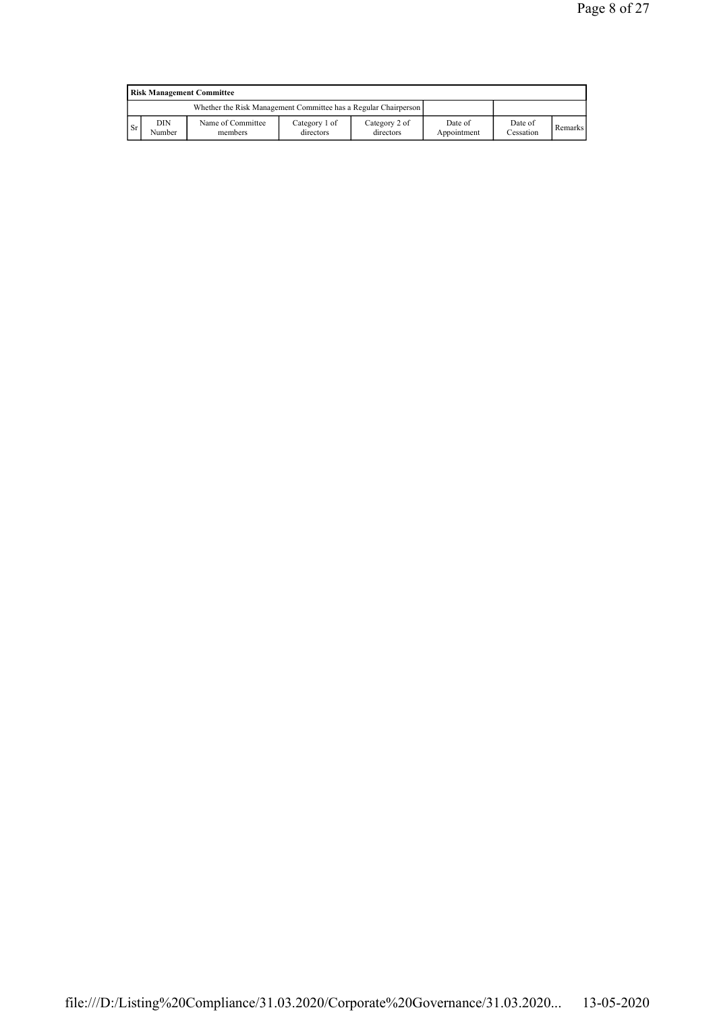|               | <b>Risk Management Committee</b> |                                                                 |                            |                            |                        |                      |                |  |  |  |  |
|---------------|----------------------------------|-----------------------------------------------------------------|----------------------------|----------------------------|------------------------|----------------------|----------------|--|--|--|--|
|               |                                  | Whether the Risk Management Committee has a Regular Chairperson |                            |                            |                        |                      |                |  |  |  |  |
| <sup>Sr</sup> | DIN<br>Number                    | Name of Committee<br>members                                    | Category 1 of<br>directors | Category 2 of<br>directors | Date of<br>Appointment | Date of<br>Cessation | <b>Remarks</b> |  |  |  |  |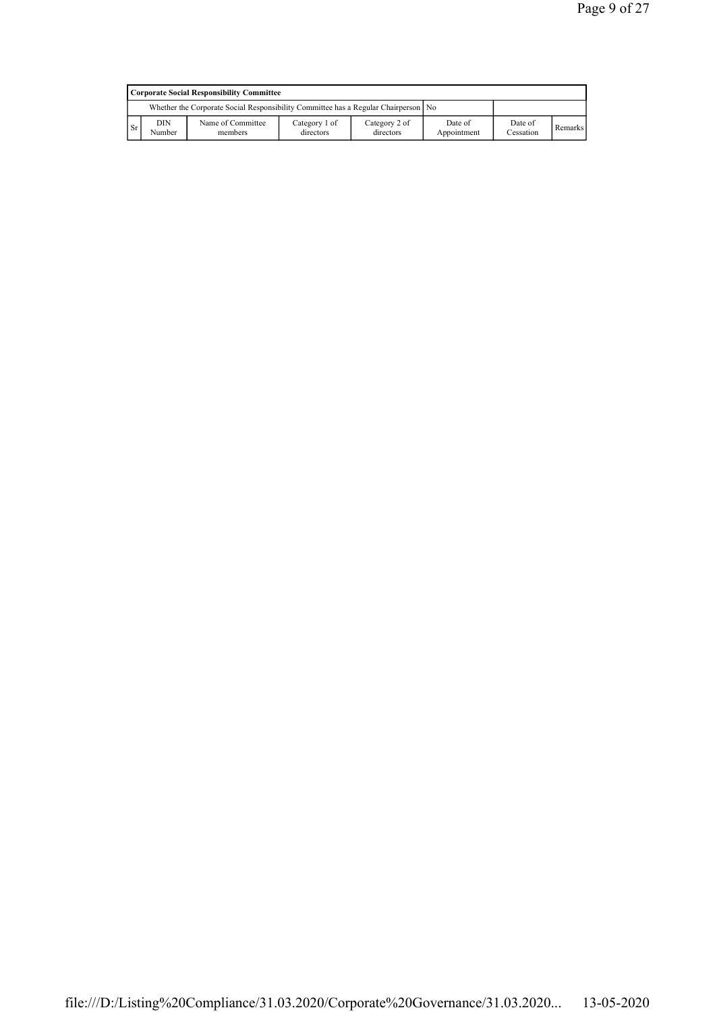|           | Corporate Social Responsibility Committee                                                                                                                                     |  |  |  |  |  |  |  |  |  |  |
|-----------|-------------------------------------------------------------------------------------------------------------------------------------------------------------------------------|--|--|--|--|--|--|--|--|--|--|
|           | Whether the Corporate Social Responsibility Committee has a Regular Chairperson   No                                                                                          |  |  |  |  |  |  |  |  |  |  |
| <b>Sr</b> | DIN<br>Category 1 of<br>Name of Committee<br>Category 2 of<br>Date of<br>Date of<br><b>Remarks</b><br>Cessation<br>Number<br>Appointment<br>members<br>directors<br>directors |  |  |  |  |  |  |  |  |  |  |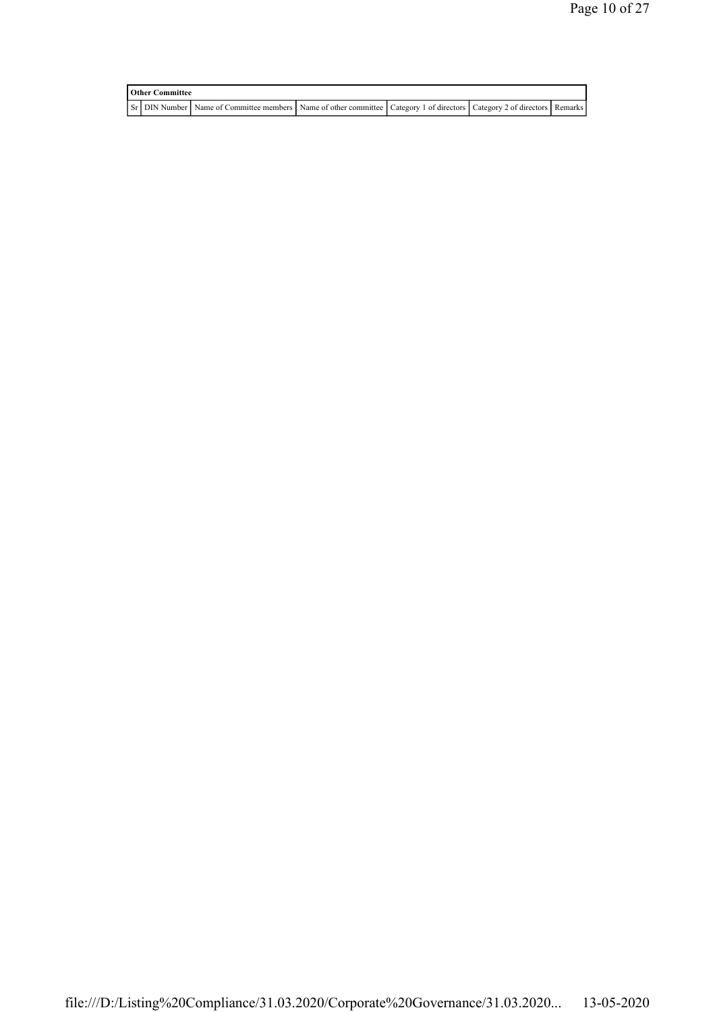| <b>Other Committee</b> |  |                                                                                                                         |  |  |  |  |  |  |  |  |
|------------------------|--|-------------------------------------------------------------------------------------------------------------------------|--|--|--|--|--|--|--|--|
|                        |  | ST DIN Number Name of Committee members Name of other committee Category 1 of directors Category 2 of directors Remarks |  |  |  |  |  |  |  |  |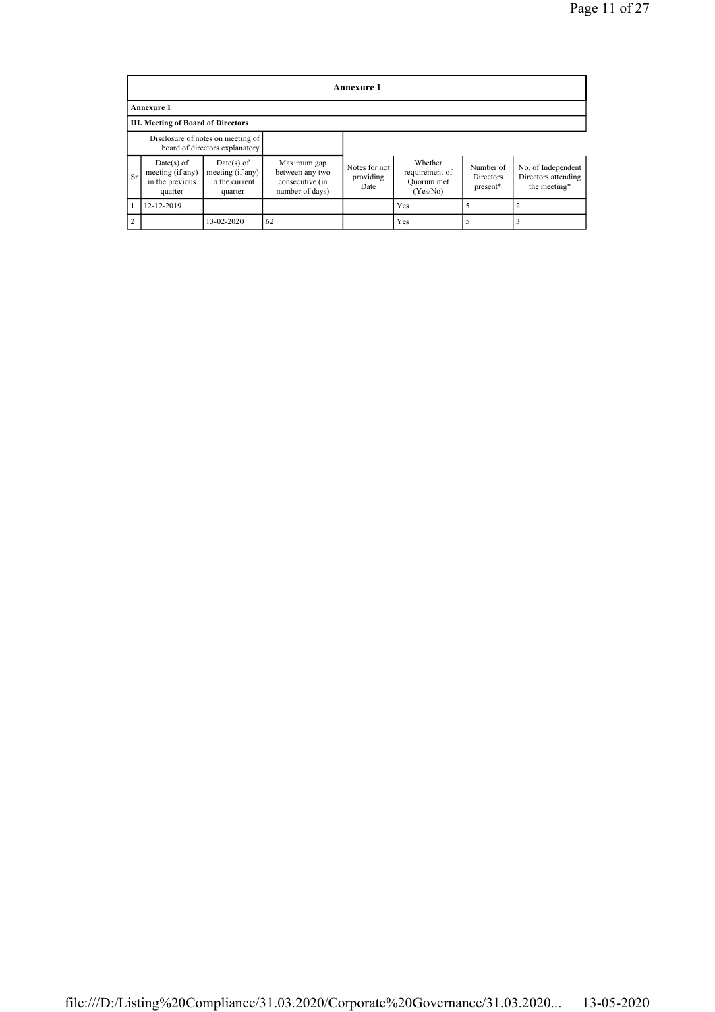|                | Annexure 1                                                     |                                                                     |                                                                      |                                    |                                                     |                                    |                                                           |  |  |  |  |
|----------------|----------------------------------------------------------------|---------------------------------------------------------------------|----------------------------------------------------------------------|------------------------------------|-----------------------------------------------------|------------------------------------|-----------------------------------------------------------|--|--|--|--|
|                | <b>Annexure 1</b>                                              |                                                                     |                                                                      |                                    |                                                     |                                    |                                                           |  |  |  |  |
|                | <b>III. Meeting of Board of Directors</b>                      |                                                                     |                                                                      |                                    |                                                     |                                    |                                                           |  |  |  |  |
|                |                                                                | Disclosure of notes on meeting of<br>board of directors explanatory |                                                                      |                                    |                                                     |                                    |                                                           |  |  |  |  |
| <b>Sr</b>      | $Date(s)$ of<br>meeting (if any)<br>in the previous<br>quarter | $Date(s)$ of<br>meeting (if any)<br>in the current<br>quarter       | Maximum gap<br>between any two<br>consecutive (in<br>number of days) | Notes for not<br>providing<br>Date | Whether<br>requirement of<br>Ouorum met<br>(Yes/No) | Number of<br>Directors<br>present* | No. of Independent<br>Directors attending<br>the meeting* |  |  |  |  |
|                | 12-12-2019                                                     |                                                                     |                                                                      |                                    | Yes                                                 |                                    |                                                           |  |  |  |  |
| $\overline{2}$ |                                                                | 13-02-2020                                                          | 62                                                                   |                                    | Yes                                                 |                                    |                                                           |  |  |  |  |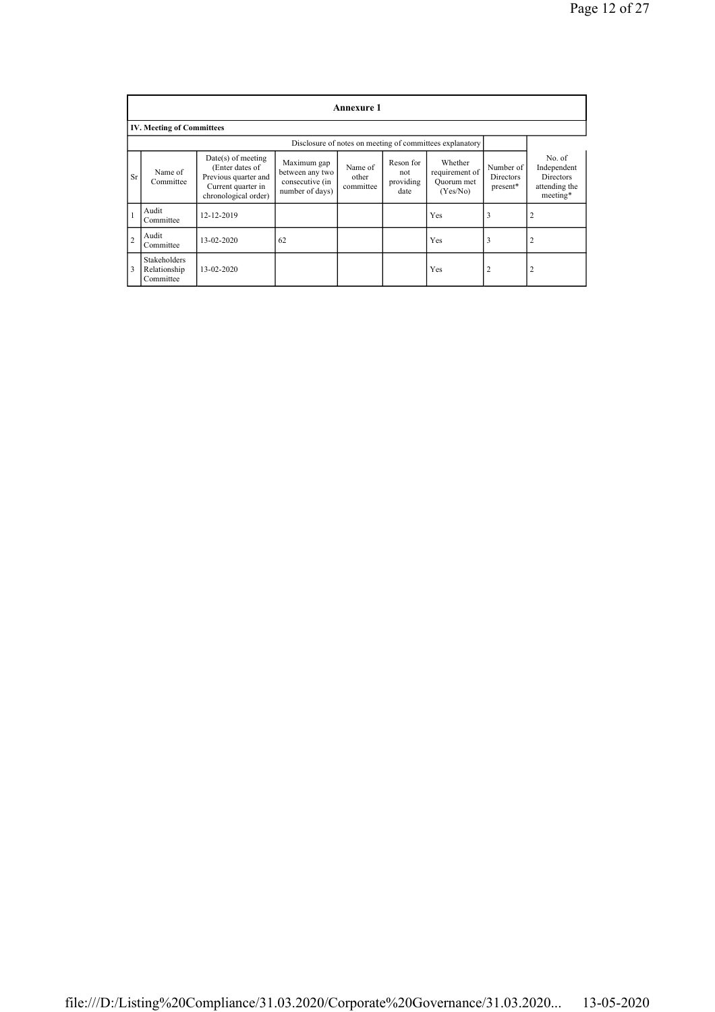|                | Annexure 1                                               |                                                                                                               |                                                                      |                               |                                       |                                                     |                                    |                                                                 |
|----------------|----------------------------------------------------------|---------------------------------------------------------------------------------------------------------------|----------------------------------------------------------------------|-------------------------------|---------------------------------------|-----------------------------------------------------|------------------------------------|-----------------------------------------------------------------|
|                | <b>IV. Meeting of Committees</b>                         |                                                                                                               |                                                                      |                               |                                       |                                                     |                                    |                                                                 |
|                | Disclosure of notes on meeting of committees explanatory |                                                                                                               |                                                                      |                               |                                       |                                                     |                                    |                                                                 |
| <b>Sr</b>      | Name of<br>Committee                                     | $Date(s)$ of meeting<br>(Enter dates of<br>Previous quarter and<br>Current quarter in<br>chronological order) | Maximum gap<br>between any two<br>consecutive (in<br>number of days) | Name of<br>other<br>committee | Reson for<br>not<br>providing<br>date | Whether<br>requirement of<br>Ouorum met<br>(Yes/No) | Number of<br>Directors<br>present* | No. of<br>Independent<br>Directors<br>attending the<br>meeting* |
|                | Audit<br>Committee                                       | 12-12-2019                                                                                                    |                                                                      |                               |                                       | Yes                                                 | 3                                  | 2                                                               |
| $\overline{2}$ | Audit<br>Committee                                       | 13-02-2020                                                                                                    | 62                                                                   |                               |                                       | Yes                                                 | 3                                  | $\overline{2}$                                                  |
| 3              | Stakeholders<br>Relationship<br>Committee                | 13-02-2020                                                                                                    |                                                                      |                               |                                       | Yes                                                 | $\overline{2}$                     | $\overline{2}$                                                  |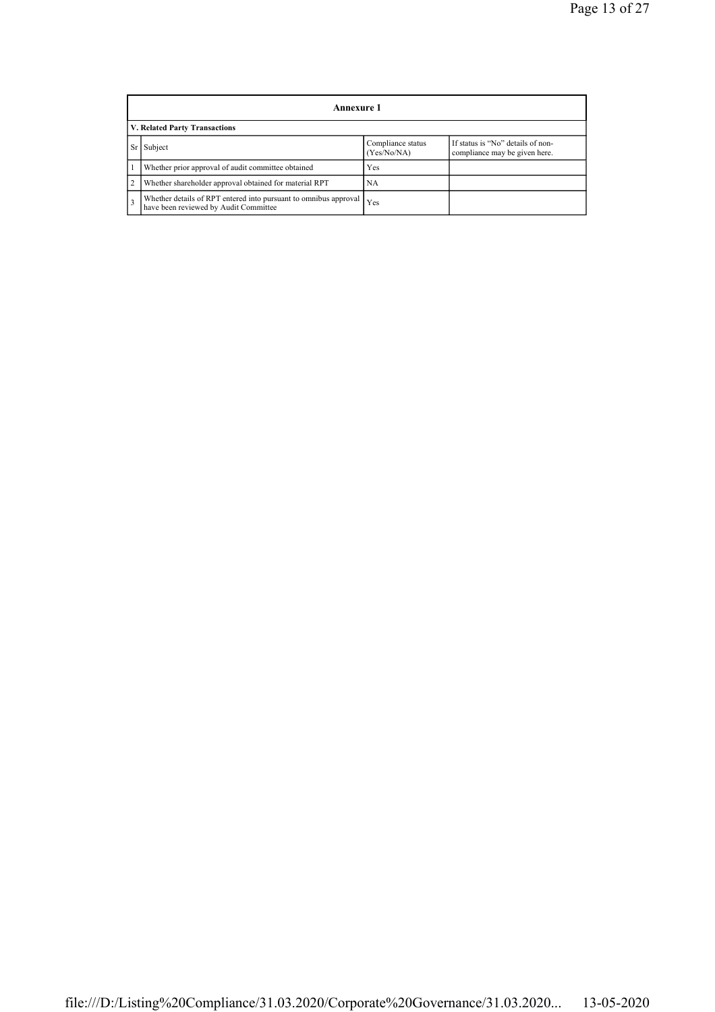|                | Annexure 1                                                                                                |                                  |                                                                    |  |  |
|----------------|-----------------------------------------------------------------------------------------------------------|----------------------------------|--------------------------------------------------------------------|--|--|
|                | V. Related Party Transactions                                                                             |                                  |                                                                    |  |  |
|                | Subject                                                                                                   | Compliance status<br>(Yes/No/NA) | If status is "No" details of non-<br>compliance may be given here. |  |  |
|                | Whether prior approval of audit committee obtained                                                        | Yes                              |                                                                    |  |  |
| $\overline{2}$ | Whether shareholder approval obtained for material RPT                                                    | NA                               |                                                                    |  |  |
| 3              | Whether details of RPT entered into pursuant to omnibus approval<br>have been reviewed by Audit Committee | Yes                              |                                                                    |  |  |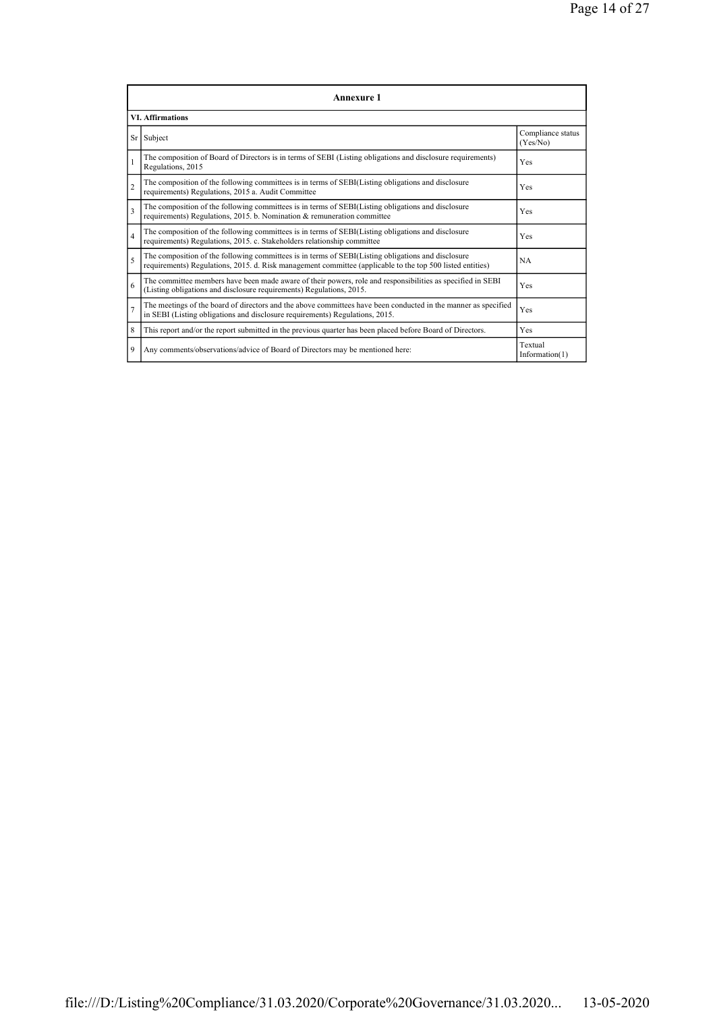|                          | Annexure 1                                                                                                                                                                                                      |                               |  |  |  |
|--------------------------|-----------------------------------------------------------------------------------------------------------------------------------------------------------------------------------------------------------------|-------------------------------|--|--|--|
|                          | <b>VI. Affirmations</b>                                                                                                                                                                                         |                               |  |  |  |
|                          | Sr Subject                                                                                                                                                                                                      | Compliance status<br>(Yes/No) |  |  |  |
| 1                        | The composition of Board of Directors is in terms of SEBI (Listing obligations and disclosure requirements)<br>Regulations, 2015                                                                                | Yes                           |  |  |  |
| $\overline{c}$           | The composition of the following committees is in terms of SEBI(Listing obligations and disclosure<br>requirements) Regulations, 2015 a. Audit Committee                                                        | Yes                           |  |  |  |
| 3                        | The composition of the following committees is in terms of SEBI(Listing obligations and disclosure<br>requirements) Regulations, 2015. b. Nomination & remuneration committee                                   | Yes                           |  |  |  |
| $\overline{4}$           | The composition of the following committees is in terms of SEBI(Listing obligations and disclosure<br>requirements) Regulations, 2015. c. Stakeholders relationship committee                                   | Yes                           |  |  |  |
| $\overline{\phantom{0}}$ | The composition of the following committees is in terms of SEBI(Listing obligations and disclosure<br>requirements) Regulations, 2015. d. Risk management committee (applicable to the top 500 listed entities) | NA.                           |  |  |  |
| 6                        | The committee members have been made aware of their powers, role and responsibilities as specified in SEBI<br>(Listing obligations and disclosure requirements) Regulations, 2015.                              | Yes                           |  |  |  |
| $\overline{7}$           | The meetings of the board of directors and the above committees have been conducted in the manner as specified<br>in SEBI (Listing obligations and disclosure requirements) Regulations, 2015.                  | Yes                           |  |  |  |
| 8                        | This report and/or the report submitted in the previous quarter has been placed before Board of Directors.                                                                                                      | Yes                           |  |  |  |
| 9                        | Any comments/observations/advice of Board of Directors may be mentioned here:                                                                                                                                   | Textual<br>Information(1)     |  |  |  |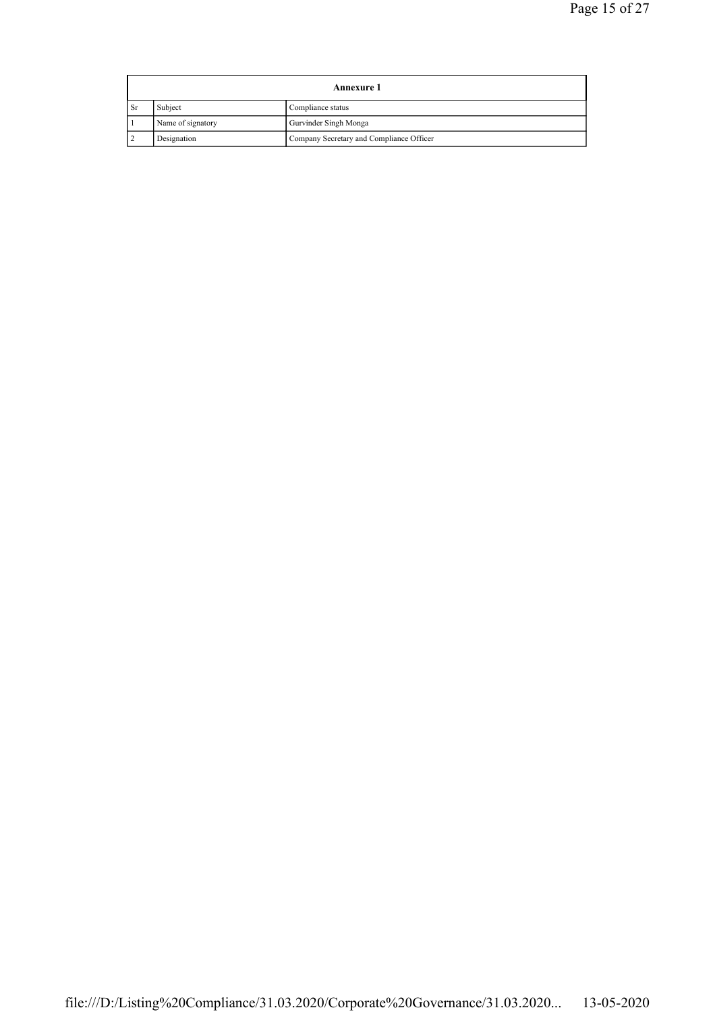|           | <b>Annexure 1</b> |                                          |  |  |  |
|-----------|-------------------|------------------------------------------|--|--|--|
| <b>Sr</b> | Subject           | Compliance status                        |  |  |  |
|           | Name of signatory | Gurvinder Singh Monga                    |  |  |  |
|           | Designation       | Company Secretary and Compliance Officer |  |  |  |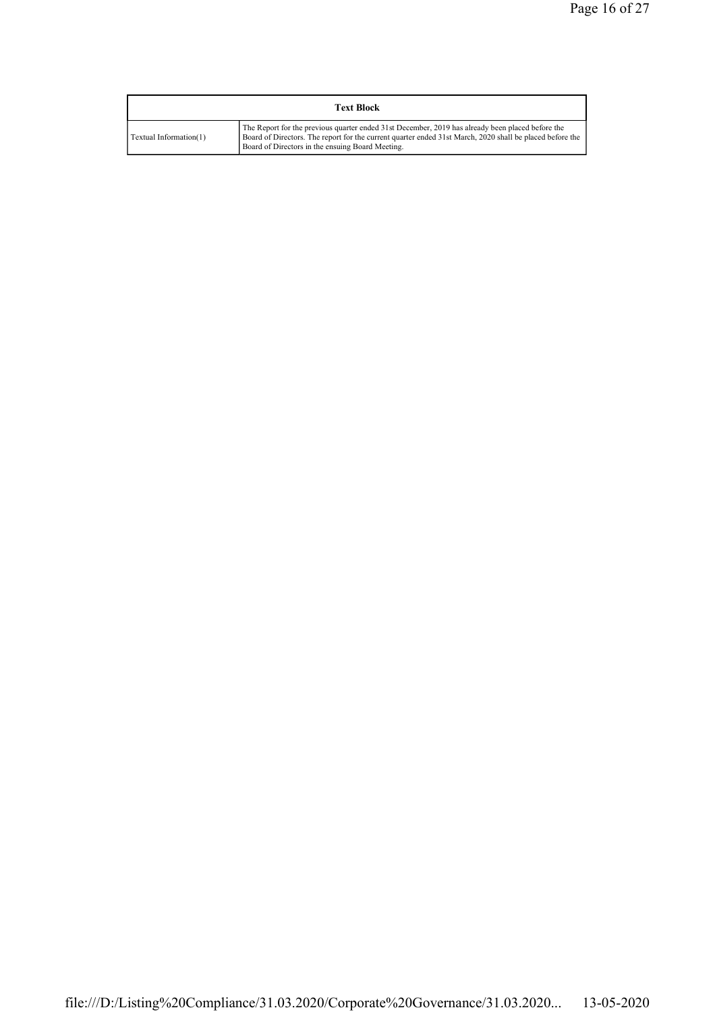| <b>Text Block</b>      |                                                                                                                                                                                                                                                                  |  |  |  |
|------------------------|------------------------------------------------------------------------------------------------------------------------------------------------------------------------------------------------------------------------------------------------------------------|--|--|--|
| Textual Information(1) | The Report for the previous quarter ended 31st December, 2019 has already been placed before the<br>Board of Directors. The report for the current quarter ended 31st March, 2020 shall be placed before the<br>Board of Directors in the ensuing Board Meeting. |  |  |  |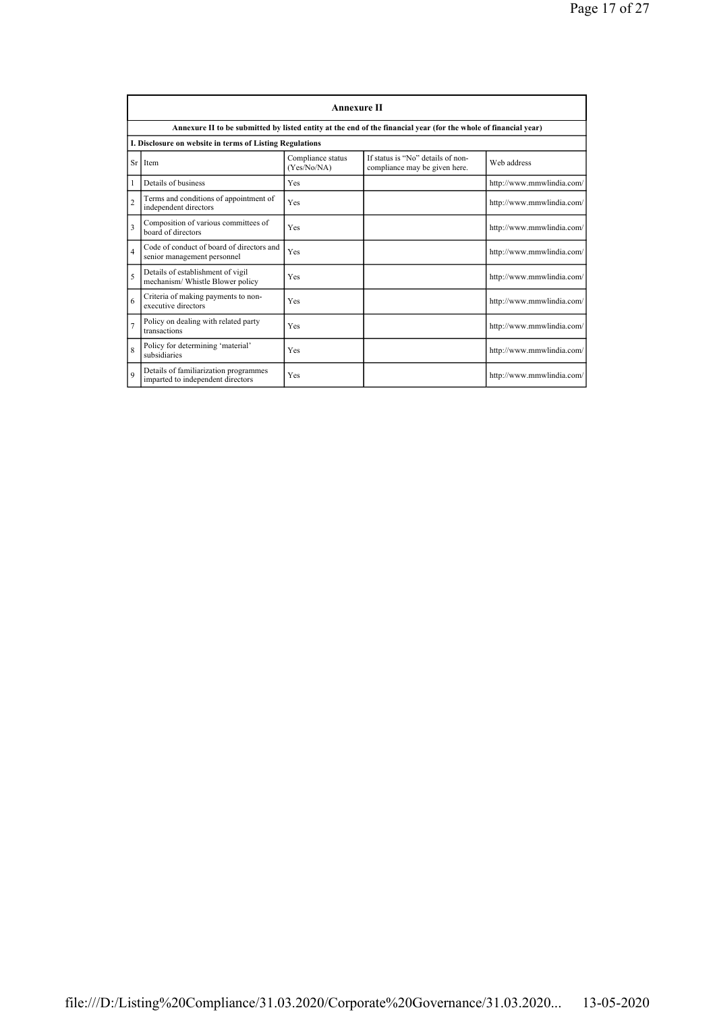|                          | <b>Annexure II</b>                                                         |                                  |                                                                                                                 |                           |  |
|--------------------------|----------------------------------------------------------------------------|----------------------------------|-----------------------------------------------------------------------------------------------------------------|---------------------------|--|
|                          |                                                                            |                                  | Annexure II to be submitted by listed entity at the end of the financial year (for the whole of financial year) |                           |  |
|                          | I. Disclosure on website in terms of Listing Regulations                   |                                  |                                                                                                                 |                           |  |
| Sr                       | Item                                                                       | Compliance status<br>(Yes/No/NA) | If status is "No" details of non-<br>compliance may be given here.                                              | Web address               |  |
| 1                        | Details of business                                                        | Yes                              |                                                                                                                 | http://www.mmwlindia.com/ |  |
| $\overline{c}$           | Terms and conditions of appointment of<br>independent directors            | Yes                              |                                                                                                                 | http://www.mmwlindia.com/ |  |
| 3                        | Composition of various committees of<br>board of directors                 | Yes                              |                                                                                                                 | http://www.mmwlindia.com/ |  |
| $\overline{4}$           | Code of conduct of board of directors and<br>senior management personnel   | Yes                              |                                                                                                                 | http://www.mmwlindia.com/ |  |
| $\overline{\phantom{0}}$ | Details of establishment of vigil<br>mechanism/Whistle Blower policy       | Yes                              |                                                                                                                 | http://www.mmwlindia.com/ |  |
| 6                        | Criteria of making payments to non-<br>executive directors                 | Yes                              |                                                                                                                 | http://www.mmwlindia.com/ |  |
| $\overline{7}$           | Policy on dealing with related party<br>transactions                       | Yes                              |                                                                                                                 | http://www.mmwlindia.com/ |  |
| $\overline{8}$           | Policy for determining 'material'<br>subsidiaries                          | Yes                              |                                                                                                                 | http://www.mmwlindia.com/ |  |
| $\mathbf Q$              | Details of familiarization programmes<br>imparted to independent directors | Yes                              |                                                                                                                 | http://www.mmwlindia.com/ |  |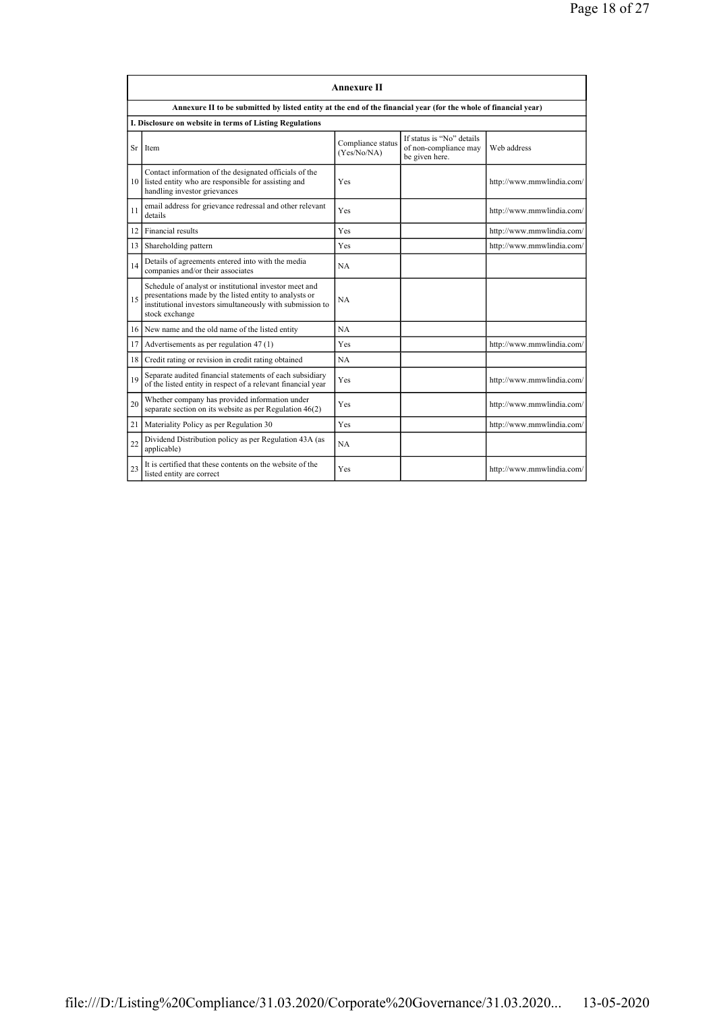|    |                                                                                                                                                                                                 | <b>Annexure II</b>               |                                                                      |                           |  |
|----|-------------------------------------------------------------------------------------------------------------------------------------------------------------------------------------------------|----------------------------------|----------------------------------------------------------------------|---------------------------|--|
|    | Annexure II to be submitted by listed entity at the end of the financial year (for the whole of financial year)                                                                                 |                                  |                                                                      |                           |  |
|    | I. Disclosure on website in terms of Listing Regulations                                                                                                                                        |                                  |                                                                      |                           |  |
| Sr | Item                                                                                                                                                                                            | Compliance status<br>(Yes/No/NA) | If status is "No" details<br>of non-compliance may<br>be given here. | Web address               |  |
|    | Contact information of the designated officials of the<br>10 listed entity who are responsible for assisting and<br>handling investor grievances                                                | Yes                              |                                                                      | http://www.mmwlindia.com/ |  |
| 11 | email address for grievance redressal and other relevant<br>details                                                                                                                             | Yes                              |                                                                      | http://www.mmwlindia.com/ |  |
| 12 | Financial results                                                                                                                                                                               | Yes                              |                                                                      | http://www.mmwlindia.com/ |  |
| 13 | Shareholding pattern                                                                                                                                                                            | Yes                              |                                                                      | http://www.mmwlindia.com/ |  |
| 14 | Details of agreements entered into with the media<br>companies and/or their associates                                                                                                          | NA                               |                                                                      |                           |  |
| 15 | Schedule of analyst or institutional investor meet and<br>presentations made by the listed entity to analysts or<br>institutional investors simultaneously with submission to<br>stock exchange | NA.                              |                                                                      |                           |  |
| 16 | New name and the old name of the listed entity                                                                                                                                                  | NA                               |                                                                      |                           |  |
| 17 | Advertisements as per regulation 47 (1)                                                                                                                                                         | Yes                              |                                                                      | http://www.mmwlindia.com/ |  |
| 18 | Credit rating or revision in credit rating obtained                                                                                                                                             | NA                               |                                                                      |                           |  |
| 19 | Separate audited financial statements of each subsidiary<br>of the listed entity in respect of a relevant financial year                                                                        | Yes                              |                                                                      | http://www.mmwlindia.com/ |  |
| 20 | Whether company has provided information under<br>separate section on its website as per Regulation 46(2)                                                                                       | Yes                              |                                                                      | http://www.mmwlindia.com/ |  |
| 21 | Materiality Policy as per Regulation 30                                                                                                                                                         | Yes                              |                                                                      | http://www.mmwlindia.com/ |  |
| 22 | Dividend Distribution policy as per Regulation 43A (as<br>applicable)                                                                                                                           | NA                               |                                                                      |                           |  |
| 23 | It is certified that these contents on the website of the<br>listed entity are correct                                                                                                          | Yes                              |                                                                      | http://www.mmwlindia.com/ |  |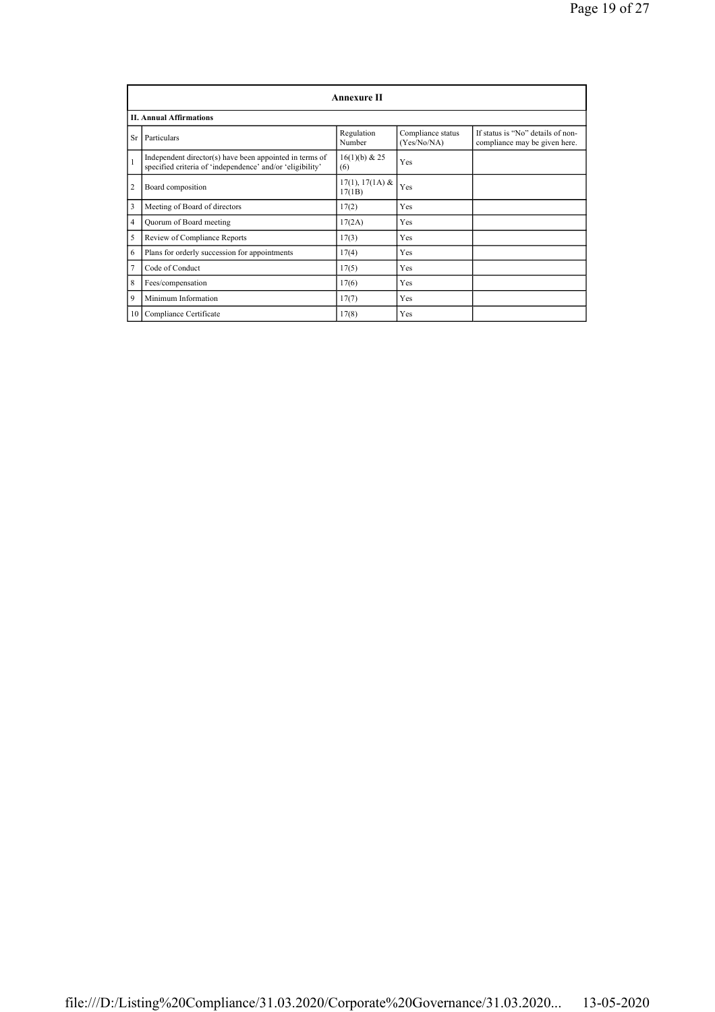|                | <b>Annexure II</b>                                                                                                   |                             |                                  |                                                                    |  |
|----------------|----------------------------------------------------------------------------------------------------------------------|-----------------------------|----------------------------------|--------------------------------------------------------------------|--|
|                | <b>II. Annual Affirmations</b>                                                                                       |                             |                                  |                                                                    |  |
| Sr             | Particulars                                                                                                          | Regulation<br>Number        | Compliance status<br>(Yes/No/NA) | If status is "No" details of non-<br>compliance may be given here. |  |
| 1              | Independent director(s) have been appointed in terms of<br>specified criteria of 'independence' and/or 'eligibility' | 16(1)(b) & 25<br>(6)        | Yes                              |                                                                    |  |
| $\overline{2}$ | Board composition                                                                                                    | $17(1), 17(1A)$ &<br>17(1B) | Yes                              |                                                                    |  |
| 3              | Meeting of Board of directors                                                                                        | 17(2)                       | Yes                              |                                                                    |  |
| 4              | Quorum of Board meeting                                                                                              | 17(2A)                      | Yes                              |                                                                    |  |
| 5              | Review of Compliance Reports                                                                                         | 17(3)                       | Yes                              |                                                                    |  |
| 6              | Plans for orderly succession for appointments                                                                        | 17(4)                       | Yes                              |                                                                    |  |
| 7              | Code of Conduct                                                                                                      | 17(5)                       | Yes                              |                                                                    |  |
| 8              | Fees/compensation                                                                                                    | 17(6)                       | Yes                              |                                                                    |  |
| 9              | Minimum Information                                                                                                  | 17(7)                       | Yes                              |                                                                    |  |
|                | 10 Compliance Certificate                                                                                            | 17(8)                       | Yes                              |                                                                    |  |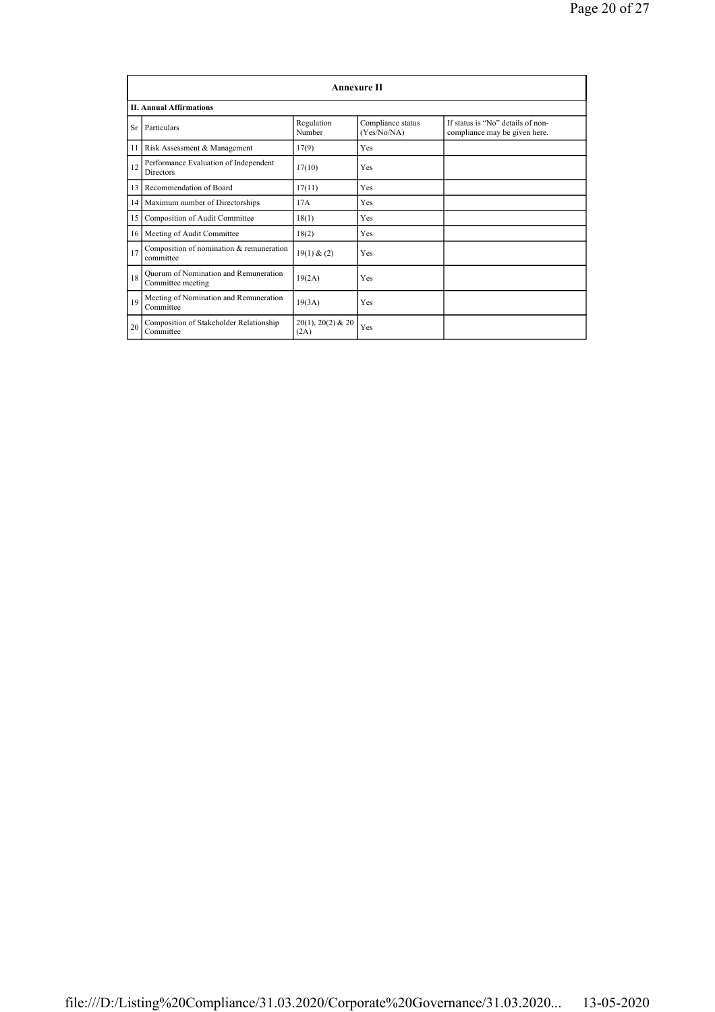|    | <b>Annexure II</b>                                         |                                  |                                  |                                                                    |  |
|----|------------------------------------------------------------|----------------------------------|----------------------------------|--------------------------------------------------------------------|--|
|    | <b>II. Annual Affirmations</b>                             |                                  |                                  |                                                                    |  |
| Sr | Particulars                                                | Regulation<br>Number             | Compliance status<br>(Yes/No/NA) | If status is "No" details of non-<br>compliance may be given here. |  |
| 11 | Risk Assessment & Management                               | 17(9)                            | Yes                              |                                                                    |  |
| 12 | Performance Evaluation of Independent<br><b>Directors</b>  | 17(10)                           | Yes                              |                                                                    |  |
| 13 | Recommendation of Board                                    | 17(11)                           | Yes                              |                                                                    |  |
|    | 14 Maximum number of Directorships                         | 17A                              | Yes                              |                                                                    |  |
| 15 | Composition of Audit Committee                             | 18(1)                            | Yes                              |                                                                    |  |
|    | 16 Meeting of Audit Committee                              | 18(2)                            | Yes                              |                                                                    |  |
| 17 | Composition of nomination & remuneration<br>committee      | 19(1) & (2)                      | Yes                              |                                                                    |  |
| 18 | Quorum of Nomination and Remuneration<br>Committee meeting | 19(2A)                           | Yes                              |                                                                    |  |
| 19 | Meeting of Nomination and Remuneration<br>Committee        | 19(3A)                           | Yes                              |                                                                    |  |
| 20 | Composition of Stakeholder Relationship<br>Committee       | $20(1)$ , $20(2)$ & $20$<br>(2A) | Yes                              |                                                                    |  |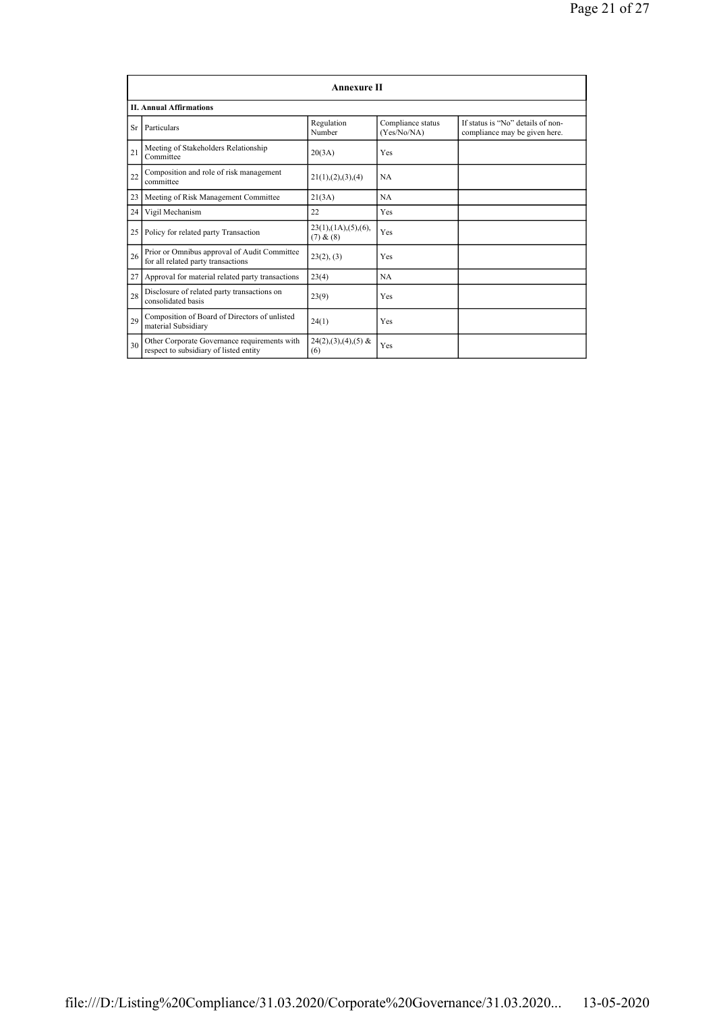|    | <b>Annexure II</b>                                                                     |                                                 |                                  |                                                                    |  |
|----|----------------------------------------------------------------------------------------|-------------------------------------------------|----------------------------------|--------------------------------------------------------------------|--|
|    | <b>II. Annual Affirmations</b>                                                         |                                                 |                                  |                                                                    |  |
| Sr | Particulars                                                                            | Regulation<br>Number                            | Compliance status<br>(Yes/No/NA) | If status is "No" details of non-<br>compliance may be given here. |  |
| 21 | Meeting of Stakeholders Relationship<br>Committee                                      | 20(3A)                                          | Yes                              |                                                                    |  |
| 22 | Composition and role of risk management<br>committee                                   | 21(1), (2), (3), (4)                            | <b>NA</b>                        |                                                                    |  |
| 23 | Meeting of Risk Management Committee                                                   | 21(3A)                                          | <b>NA</b>                        |                                                                    |  |
| 24 | Vigil Mechanism                                                                        | 22                                              | Yes                              |                                                                    |  |
| 25 | Policy for related party Transaction                                                   | $23(1)$ , $(1A)$ , $(5)$ , $(6)$ ,<br>(7) & (8) | Yes                              |                                                                    |  |
| 26 | Prior or Omnibus approval of Audit Committee<br>for all related party transactions     | 23(2), (3)                                      | Yes                              |                                                                    |  |
| 27 | Approval for material related party transactions                                       | 23(4)                                           | <b>NA</b>                        |                                                                    |  |
| 28 | Disclosure of related party transactions on<br>consolidated basis                      | 23(9)                                           | Yes                              |                                                                    |  |
| 29 | Composition of Board of Directors of unlisted<br>material Subsidiary                   | 24(1)                                           | Yes                              |                                                                    |  |
| 30 | Other Corporate Governance requirements with<br>respect to subsidiary of listed entity | $24(2),(3),(4),(5)$ &<br>(6)                    | Yes                              |                                                                    |  |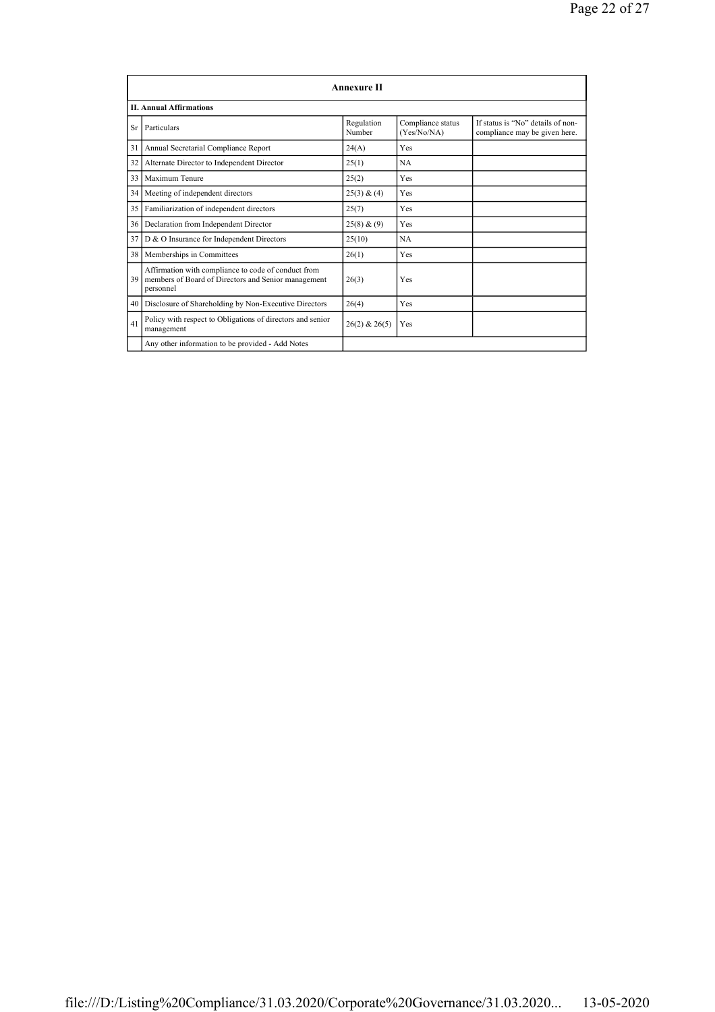|    | Annexure II                                                                                                             |                      |                                  |                                                                    |  |
|----|-------------------------------------------------------------------------------------------------------------------------|----------------------|----------------------------------|--------------------------------------------------------------------|--|
|    | <b>II. Annual Affirmations</b>                                                                                          |                      |                                  |                                                                    |  |
| Sr | Particulars                                                                                                             | Regulation<br>Number | Compliance status<br>(Yes/No/NA) | If status is "No" details of non-<br>compliance may be given here. |  |
| 31 | Annual Secretarial Compliance Report                                                                                    | 24(A)                | Yes                              |                                                                    |  |
| 32 | Alternate Director to Independent Director                                                                              | 25(1)                | NA.                              |                                                                    |  |
| 33 | Maximum Tenure                                                                                                          | 25(2)                | Yes                              |                                                                    |  |
| 34 | Meeting of independent directors                                                                                        | 25(3) & (4)          | Yes                              |                                                                    |  |
| 35 | Familiarization of independent directors                                                                                | 25(7)                | Yes                              |                                                                    |  |
| 36 | Declaration from Independent Director                                                                                   | 25(8) & (9)          | Yes                              |                                                                    |  |
| 37 | D & O Insurance for Independent Directors                                                                               | 25(10)               | NA.                              |                                                                    |  |
| 38 | Memberships in Committees                                                                                               | 26(1)                | Yes                              |                                                                    |  |
| 39 | Affirmation with compliance to code of conduct from<br>members of Board of Directors and Senior management<br>personnel | 26(3)                | Yes                              |                                                                    |  |
| 40 | Disclosure of Shareholding by Non-Executive Directors                                                                   | 26(4)                | Yes                              |                                                                    |  |
| 41 | Policy with respect to Obligations of directors and senior<br>management                                                | $26(2)$ & $26(5)$    | Yes                              |                                                                    |  |
|    | Any other information to be provided - Add Notes                                                                        |                      |                                  |                                                                    |  |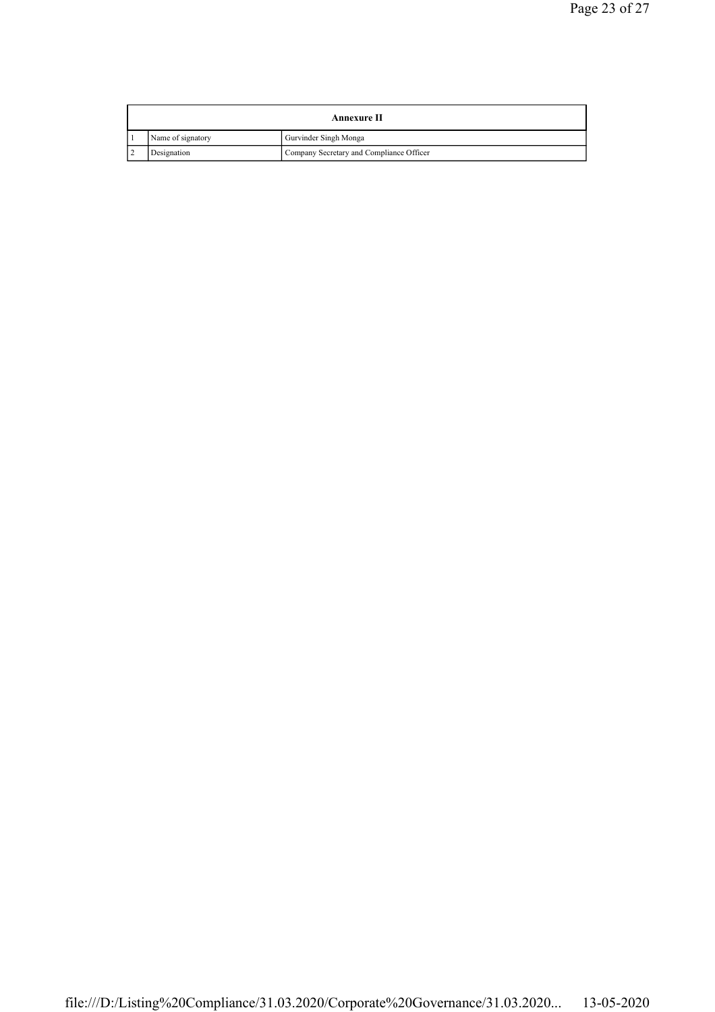| Annexure II       |                                          |  |
|-------------------|------------------------------------------|--|
| Name of signatory | Gurvinder Singh Monga                    |  |
| Designation       | Company Secretary and Compliance Officer |  |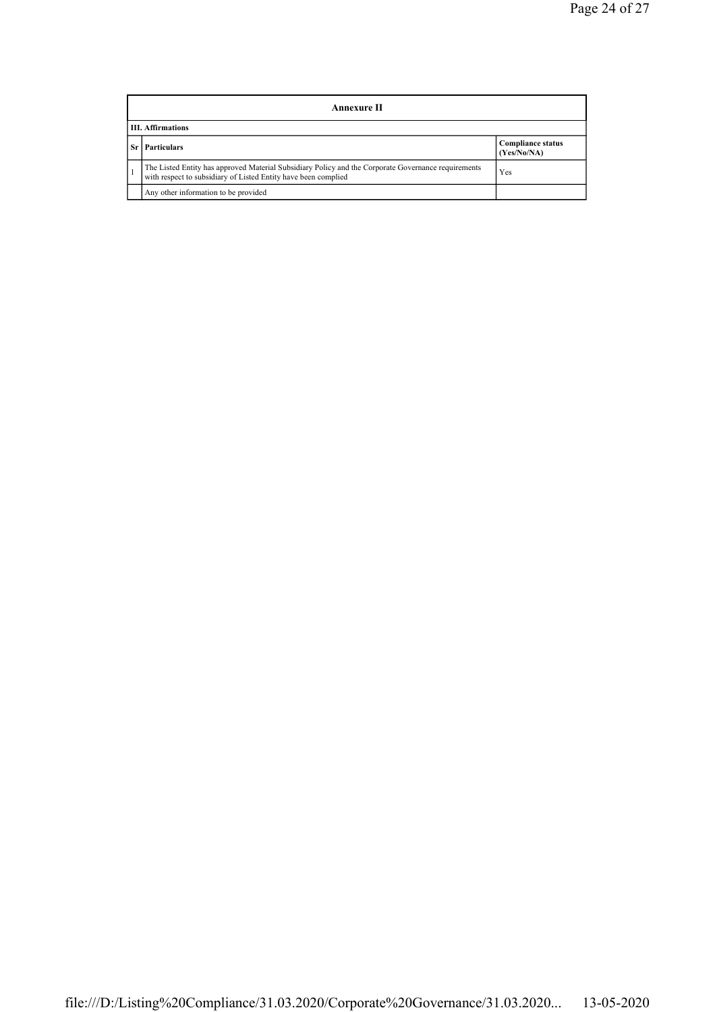| Annexure II              |                                                                                                                                                                       |                                         |  |
|--------------------------|-----------------------------------------------------------------------------------------------------------------------------------------------------------------------|-----------------------------------------|--|
| <b>III. Affirmations</b> |                                                                                                                                                                       |                                         |  |
|                          | <b>Particulars</b>                                                                                                                                                    | <b>Compliance status</b><br>(Yes/No/NA) |  |
|                          | The Listed Entity has approved Material Subsidiary Policy and the Corporate Governance requirements<br>with respect to subsidiary of Listed Entity have been complied | Yes                                     |  |
|                          | Any other information to be provided                                                                                                                                  |                                         |  |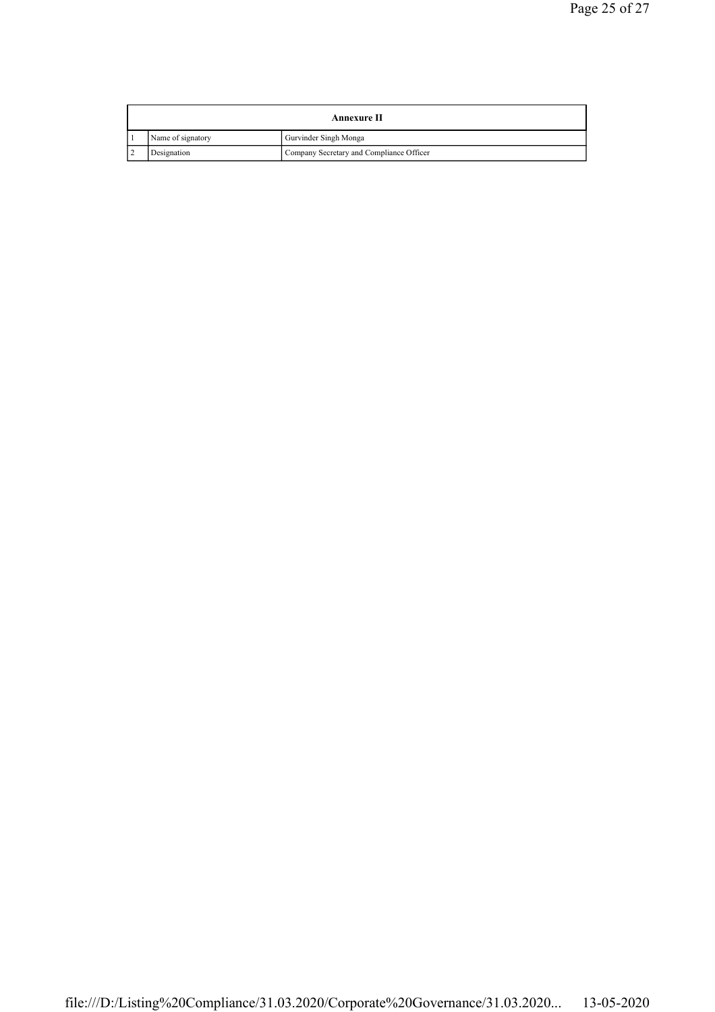| Annexure II       |                                          |  |
|-------------------|------------------------------------------|--|
| Name of signatory | Gurvinder Singh Monga                    |  |
| Designation       | Company Secretary and Compliance Officer |  |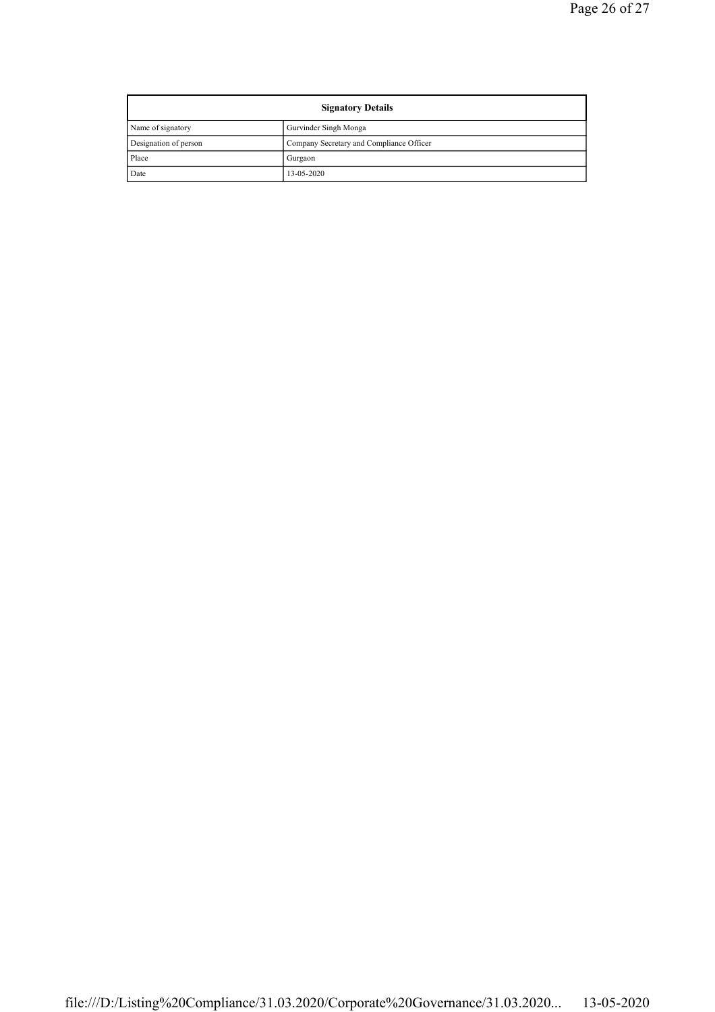| <b>Signatory Details</b> |                                          |  |
|--------------------------|------------------------------------------|--|
| Name of signatory        | Gurvinder Singh Monga                    |  |
| Designation of person    | Company Secretary and Compliance Officer |  |
| Place                    | Gurgaon                                  |  |
| Date                     | 13-05-2020                               |  |